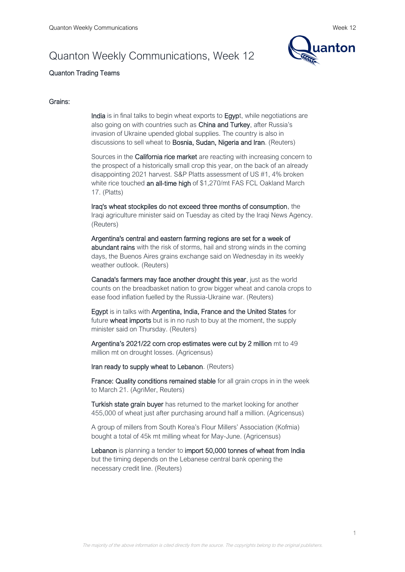# Quanton Weekly Communications, Week 12



# Quanton Trading Teams

## Grains:

India is in final talks to begin wheat exports to Egypt, while negotiations are also going on with countries such as China and Turkey, after Russia's invasion of Ukraine upended global supplies. The country is also in discussions to sell wheat to Bosnia, Sudan, Nigeria and Iran. (Reuters)

Sources in the California rice market are reacting with increasing concern to the prospect of a historically small crop this year, on the back of an already disappointing 2021 harvest. S&P Platts assessment of US #1, 4% broken white rice touched an all-time high of \$1,270/mt FAS FCL Oakland March 17. (Platts)

Iraq's wheat stockpiles do not exceed three months of consumption, the Iraqi agriculture minister said on Tuesday as cited by the Iraqi News Agency. (Reuters)

Argentina's central and eastern farming regions are set for a week of abundant rains with the risk of storms, hail and strong winds in the coming days, the Buenos Aires grains exchange said on Wednesday in its weekly weather outlook. (Reuters)

Canada's farmers may face another drought this year, just as the world counts on the breadbasket nation to grow bigger wheat and canola crops to ease food inflation fuelled by the Russia-Ukraine war. (Reuters)

Egypt is in talks with Argentina, India, France and the United States for future wheat imports but is in no rush to buy at the moment, the supply minister said on Thursday. (Reuters)

Argentina's 2021/22 corn crop estimates were cut by 2 million mt to 49 million mt on drought losses. (Agricensus)

Iran ready to supply wheat to Lebanon. (Reuters)

France: Quality conditions remained stable for all grain crops in in the week to March 21. (AgriMer, Reuters)

Turkish state grain buyer has returned to the market looking for another 455,000 of wheat just after purchasing around half a million. (Agricensus)

A group of millers from South Korea's Flour Millers' Association (Kofmia) bought a total of 45k mt milling wheat for May-June. (Agricensus)

Lebanon is planning a tender to import 50,000 tonnes of wheat from India but the timing depends on the Lebanese central bank opening the necessary credit line. (Reuters)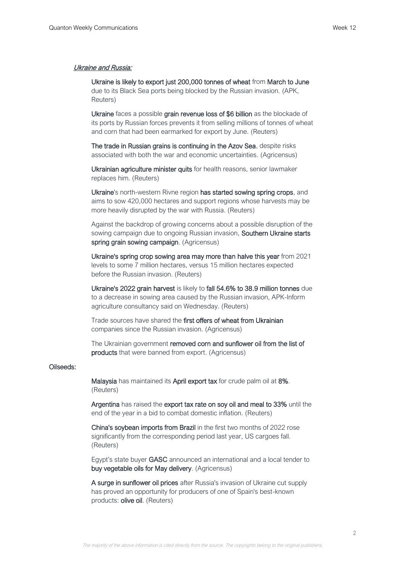## Ukraine and Russia:

Ukraine is likely to export just 200,000 tonnes of wheat from March to June due to its Black Sea ports being blocked by the Russian invasion. (APK, Reuters)

Ukraine faces a possible grain revenue loss of \$6 billion as the blockade of its ports by Russian forces prevents it from selling millions of tonnes of wheat and corn that had been earmarked for export by June. (Reuters)

The trade in Russian grains is continuing in the Azov Sea, despite risks associated with both the war and economic uncertainties. (Agricensus)

Ukrainian agriculture minister quits for health reasons, senior lawmaker replaces him. (Reuters)

Ukraine's north-western Rivne region has started sowing spring crops, and aims to sow 420,000 hectares and support regions whose harvests may be more heavily disrupted by the war with Russia. (Reuters)

Against the backdrop of growing concerns about a possible disruption of the sowing campaign due to ongoing Russian invasion, Southern Ukraine starts spring grain sowing campaign. (Agricensus)

Ukraine's spring crop sowing area may more than halve this year from 2021 levels to some 7 million hectares, versus 15 million hectares expected before the Russian invasion. (Reuters)

Ukraine's 2022 grain harvest is likely to fall 54.6% to 38.9 million tonnes due to a decrease in sowing area caused by the Russian invasion, APK-Inform agriculture consultancy said on Wednesday. (Reuters)

Trade sources have shared the first offers of wheat from Ukrainian companies since the Russian invasion. (Agricensus)

The Ukrainian government removed corn and sunflower oil from the list of products that were banned from export. (Agricensus)

#### Oilseeds:

Malaysia has maintained its April export tax for crude palm oil at 8%. (Reuters)

Argentina has raised the export tax rate on soy oil and meal to 33% until the end of the year in a bid to combat domestic inflation. (Reuters)

China's soybean imports from Brazil in the first two months of 2022 rose significantly from the corresponding period last year, US cargoes fall. (Reuters)

Egypt's state buyer GASC announced an international and a local tender to buy vegetable oils for May delivery. (Agricensus)

A surge in sunflower oil prices after Russia's invasion of Ukraine cut supply has proved an opportunity for producers of one of Spain's best-known products: olive oil. (Reuters)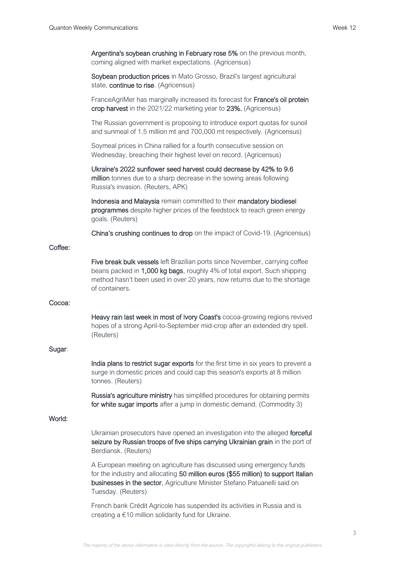| Argentina's soybean crushing in February rose 5% on the previous month, |
|-------------------------------------------------------------------------|
| coming aligned with market expectations. (Agricensus)                   |

Soybean production prices in Mato Grosso, Brazil's largest agricultural state, continue to rise. (Agricensus)

FranceAgriMer has marginally increased its forecast for France's oil protein crop harvest in the 2021/22 marketing year to 23%. (Agricensus)

The Russian government is proposing to introduce export quotas for sunoil and sunmeal of 1.5 million mt and 700,000 mt respectively. (Agricensus)

Soymeal prices in China rallied for a fourth consecutive session on Wednesday, breaching their highest level on record. (Agricensus)

Ukraine's 2022 sunflower seed harvest could decrease by 42% to 9.6 million tonnes due to a sharp decrease in the sowing areas following Russia's invasion. (Reuters, APK)

Indonesia and Malaysia remain committed to their mandatory biodiesel programmes despite higher prices of the feedstock to reach green energy goals. (Reuters)

China's crushing continues to drop on the impact of Covid-19. (Agricensus)

#### Coffee:

Five break bulk vessels left Brazilian ports since November, carrying coffee beans packed in 1,000 kg bags, roughly 4% of total export. Such shipping method hasn't been used in over 20 years, now returns due to the shortage of containers.

#### Cocoa:

Heavy rain last week in most of Ivory Coast's cocoa-growing regions revived hopes of a strong April-to-September mid-crop after an extended dry spell. (Reuters)

#### Sugar:

India plans to restrict sugar exports for the first time in six years to prevent a surge in domestic prices and could cap this season's exports at 8 million tonnes. (Reuters)

Russia's agriculture ministry has simplified procedures for obtaining permits for white sugar imports after a jump in domestic demand. (Commodity 3)

## World:

Ukrainian prosecutors have opened an investigation into the alleged forceful seizure by Russian troops of five ships carrying Ukrainian grain in the port of Berdiansk. (Reuters)

A European meeting on agriculture has discussed using emergency funds for the industry and allocating 50 million euros (\$55 million) to support Italian businesses in the sector, Agriculture Minister Stefano Patuanelli said on Tuesday. (Reuters)

French bank Crédit Agricole has suspended its activities in Russia and is creating a €10 million solidarity fund for Ukraine.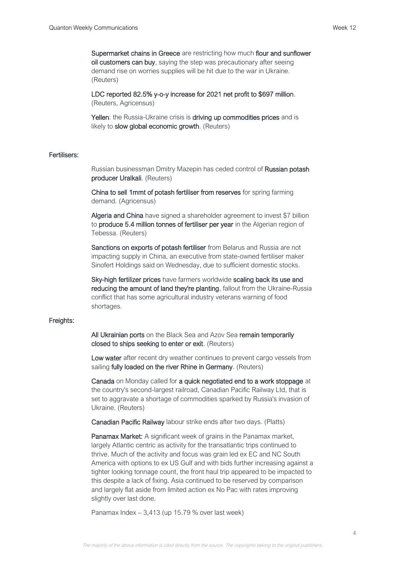Supermarket chains in Greece are restricting how much flour and sunflower oil customers can buy, saying the step was precautionary after seeing demand rise on worries supplies will be hit due to the war in Ukraine. (Reuters)

LDC reported 82.5% y-o-y increase for 2021 net profit to \$697 million. (Reuters, Agricensus)

Yellen: the Russia-Ukraine crisis is driving up commodities prices and is likely to slow global economic growth. (Reuters)

#### Fertilisers:

Russian businessman Dmitry Mazepin has ceded control of Russian potash producer Uralkali. (Reuters)

China to sell 1mmt of potash fertiliser from reserves for spring farming demand. (Agricensus)

Algeria and China have signed a shareholder agreement to invest \$7 billion to produce 5.4 million tonnes of fertiliser per year in the Algerian region of Tebessa. (Reuters)

Sanctions on exports of potash fertiliser from Belarus and Russia are not impacting supply in China, an executive from state-owned fertiliser maker Sinofert Holdings said on Wednesday, due to sufficient domestic stocks.

Sky-high fertilizer prices have farmers worldwide scaling back its use and reducing the amount of land they're planting, fallout from the Ukraine-Russia conflict that has some agricultural industry veterans warning of food shortages.

#### Freights:

All Ukrainian ports on the Black Sea and Azov Sea remain temporarily closed to ships seeking to enter or exit. (Reuters)

Low water after recent dry weather continues to prevent cargo vessels from sailing fully loaded on the river Rhine in Germany. (Reuters)

Canada on Monday called for a quick negotiated end to a work stoppage at the country's second-largest railroad, Canadian Pacific Railway Ltd, that is set to aggravate a shortage of commodities sparked by Russia's invasion of Ukraine. (Reuters)

Canadian Pacific Railway labour strike ends after two days. (Platts)

**Panamax Market:** A significant week of grains in the Panamax market, largely Atlantic centric as activity for the transatlantic trips continued to thrive. Much of the activity and focus was grain led ex EC and NC South America with options to ex US Gulf and with bids further increasing against a tighter looking tonnage count, the front haul trip appeared to be impacted to this despite a lack of fixing. Asia continued to be reserved by comparison and largely flat aside from limited action ex No Pac with rates improving slightly over last done.

Panamax Index – 3,413 (up 15.79 % over last week)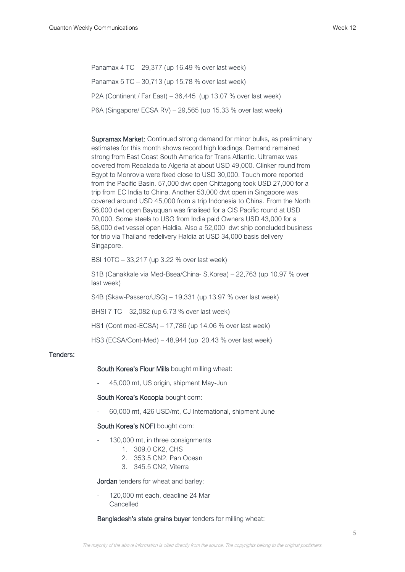Panamax 4 TC – 29,377 (up 16.49 % over last week) Panamax 5 TC – 30,713 (up 15.78 % over last week) P2A (Continent / Far East) – 36,445 (up 13.07 % over last week) P6A (Singapore/ ECSA RV) – 29,565 (up 15.33 % over last week)

Supramax Market: Continued strong demand for minor bulks, as preliminary estimates for this month shows record high loadings. Demand remained strong from East Coast South America for Trans Atlantic. Ultramax was covered from Recalada to Algeria at about USD 49,000. Clinker round from Egypt to Monrovia were fixed close to USD 30,000. Touch more reported from the Pacific Basin. 57,000 dwt open Chittagong took USD 27,000 for a trip from EC India to China. Another 53,000 dwt open in Singapore was covered around USD 45,000 from a trip Indonesia to China. From the North 56,000 dwt open Bayuquan was finalised for a CIS Pacific round at USD 70,000. Some steels to USG from India paid Owners USD 43,000 for a 58,000 dwt vessel open Haldia. Also a 52,000 dwt ship concluded business for trip via Thailand redelivery Haldia at USD 34,000 basis delivery Singapore.

BSI 10TC – 33,217 (up 3.22 % over last week)

S1B (Canakkale via Med-Bsea/China- S.Korea) – 22,763 (up 10.97 % over last week)

S4B (Skaw-Passero/USG) – 19,331 (up 13.97 % over last week)

BHSI 7 TC – 32,082 (up 6.73 % over last week)

HS1 (Cont med-ECSA) – 17,786 (up 14.06 % over last week)

HS3 (ECSA/Cont-Med) – 48,944 (up 20.43 % over last week)

## Tenders:

## South Korea's Flour Mills bought milling wheat:

- 45,000 mt, US origin, shipment May-Jun

#### South Korea's Kocopia bought corn:

- 60,000 mt, 426 USD/mt, CJ International, shipment June

#### South Korea's NOFI bought corn:

- 130,000 mt, in three consignments
	- 1. 309.0 CK2, CHS
	- 2. 353.5 CN2, Pan Ocean
	- 3. 345.5 CN2, Viterra

### Jordan tenders for wheat and barley:

120,000 mt each, deadline 24 Mar Cancelled

## Bangladesh's state grains buyer tenders for milling wheat: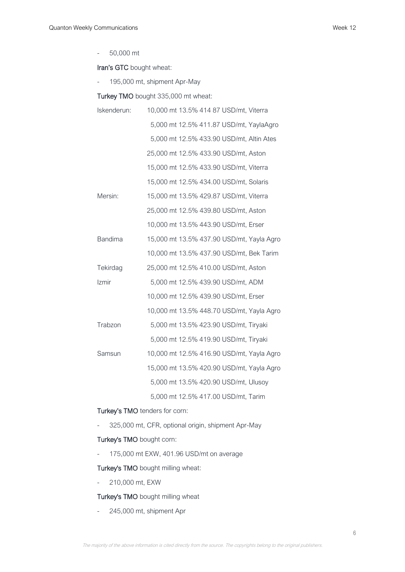- 50,000 mt

Iran's GTC bought wheat:

- 195,000 mt, shipment Apr-May

Turkey TMO bought 335,000 mt wheat:

| Iskenderun:    | 10,000 mt 13.5% 414 87 USD/mt, Viterra    |
|----------------|-------------------------------------------|
|                | 5,000 mt 12.5% 411.87 USD/mt, YaylaAgro   |
|                | 5,000 mt 12.5% 433.90 USD/mt, Altin Ates  |
|                | 25,000 mt 12.5% 433.90 USD/mt, Aston      |
|                | 15,000 mt 12.5% 433.90 USD/mt, Viterra    |
|                | 15,000 mt 12.5% 434.00 USD/mt, Solaris    |
| Mersin:        | 15,000 mt 13.5% 429.87 USD/mt, Viterra    |
|                | 25,000 mt 12.5% 439.80 USD/mt, Aston      |
|                | 10,000 mt 13.5% 443.90 USD/mt, Erser      |
| <b>Bandima</b> | 15,000 mt 13.5% 437.90 USD/mt, Yayla Agro |
|                | 10,000 mt 13.5% 437.90 USD/mt, Bek Tarim  |
| Tekirdag       | 25,000 mt 12.5% 410.00 USD/mt, Aston      |
| Izmir          | 5,000 mt 12.5% 439.90 USD/mt, ADM         |
|                | 10,000 mt 12.5% 439.90 USD/mt, Erser      |
|                | 10,000 mt 13.5% 448.70 USD/mt, Yayla Agro |
| Trabzon        | 5,000 mt 13.5% 423.90 USD/mt, Tiryaki     |
|                | 5,000 mt 12.5% 419.90 USD/mt, Tiryaki     |
| Samsun         | 10,000 mt 12.5% 416.90 USD/mt, Yayla Agro |
|                | 15,000 mt 13.5% 420.90 USD/mt, Yayla Agro |
|                | 5,000 mt 13.5% 420.90 USD/mt, Ulusoy      |
|                | 5,000 mt 12.5% 417.00 USD/mt, Tarim       |

## Turkey's TMO tenders for corn:

- 325,000 mt, CFR, optional origin, shipment Apr-May

## Turkey's TMO bought corn:

- 175,000 mt EXW, 401.96 USD/mt on average

Turkey's TMO bought milling wheat:

- 210,000 mt, EXW

## Turkey's TMO bought milling wheat

- 245,000 mt, shipment Apr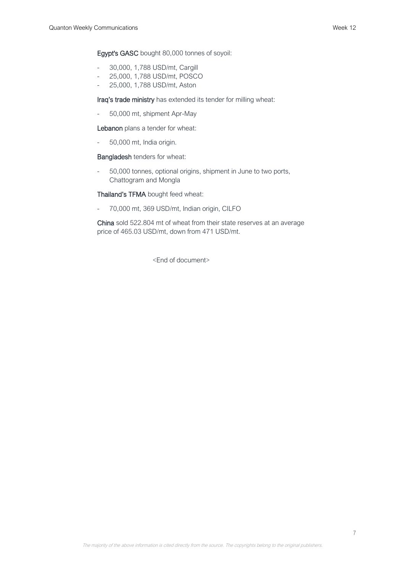Egypt's GASC bought 80,000 tonnes of soyoil:

- 30,000, 1,788 USD/mt, Cargill
- 25,000, 1,788 USD/mt, POSCO
- 25,000, 1,788 USD/mt, Aston

Iraq's trade ministry has extended its tender for milling wheat:

- 50,000 mt, shipment Apr-May

Lebanon plans a tender for wheat:

- 50,000 mt, India origin.

Bangladesh tenders for wheat:

- 50,000 tonnes, optional origins, shipment in June to two ports, Chattogram and Mongla

Thailand's TFMA bought feed wheat:

- 70,000 mt, 369 USD/mt, Indian origin, CILFO

China sold 522.804 mt of wheat from their state reserves at an average price of 465.03 USD/mt, down from 471 USD/mt.

<End of document>